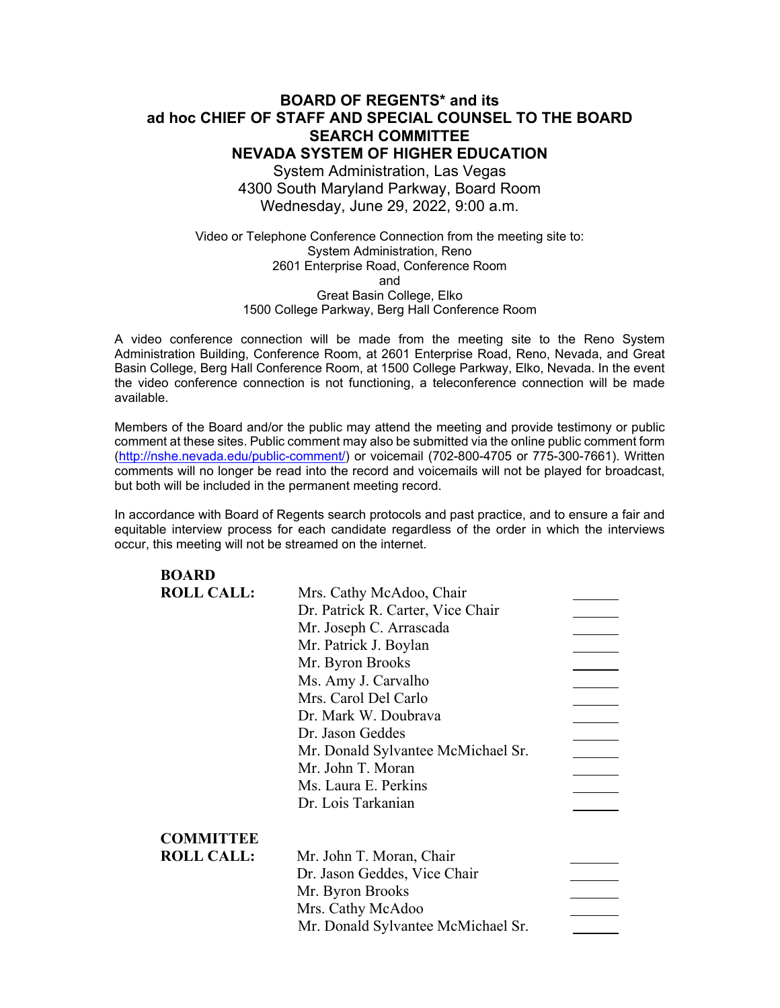## **BOARD OF REGENTS\* and its ad hoc CHIEF OF STAFF AND SPECIAL COUNSEL TO THE BOARD SEARCH COMMITTEE NEVADA SYSTEM OF HIGHER EDUCATION** System Administration, Las Vegas

4300 South Maryland Parkway, Board Room Wednesday, June 29, 2022, 9:00 a.m.

Video or Telephone Conference Connection from the meeting site to: System Administration, Reno 2601 Enterprise Road, Conference Room and Great Basin College, Elko 1500 College Parkway, Berg Hall Conference Room

A video conference connection will be made from the meeting site to the Reno System Administration Building, Conference Room, at 2601 Enterprise Road, Reno, Nevada, and Great Basin College, Berg Hall Conference Room, at 1500 College Parkway, Elko, Nevada. In the event the video conference connection is not functioning, a teleconference connection will be made available.

Members of the Board and/or the public may attend the meeting and provide testimony or public comment at these sites. Public comment may also be submitted via the online public comment form [\(http://nshe.nevada.edu/public-comment/\)](http://nshe.nevada.edu/public-comment/) or voicemail (702-800-4705 or 775-300-7661). Written comments will no longer be read into the record and voicemails will not be played for broadcast, but both will be included in the permanent meeting record.

In accordance with Board of Regents search protocols and past practice, and to ensure a fair and equitable interview process for each candidate regardless of the order in which the interviews occur, this meeting will not be streamed on the internet.

| <b>BOARD</b>      |                                    |  |
|-------------------|------------------------------------|--|
| <b>ROLL CALL:</b> | Mrs. Cathy McAdoo, Chair           |  |
|                   | Dr. Patrick R. Carter, Vice Chair  |  |
|                   | Mr. Joseph C. Arrascada            |  |
|                   | Mr. Patrick J. Boylan              |  |
|                   | Mr. Byron Brooks                   |  |
|                   | Ms. Amy J. Carvalho                |  |
|                   | Mrs. Carol Del Carlo               |  |
|                   | Dr. Mark W. Doubrava               |  |
|                   | Dr. Jason Geddes                   |  |
|                   | Mr. Donald Sylvantee McMichael Sr. |  |
|                   | Mr. John T. Moran                  |  |
|                   | Ms. Laura E. Perkins               |  |
|                   | Dr. Lois Tarkanian                 |  |
| <b>COMMITTEE</b>  |                                    |  |
| <b>ROLL CALL:</b> | Mr. John T. Moran, Chair           |  |
|                   | Dr. Jason Geddes, Vice Chair       |  |
|                   | Mr. Byron Brooks                   |  |
|                   | Mrs. Cathy McAdoo                  |  |
|                   | Mr. Donald Sylvantee McMichael Sr. |  |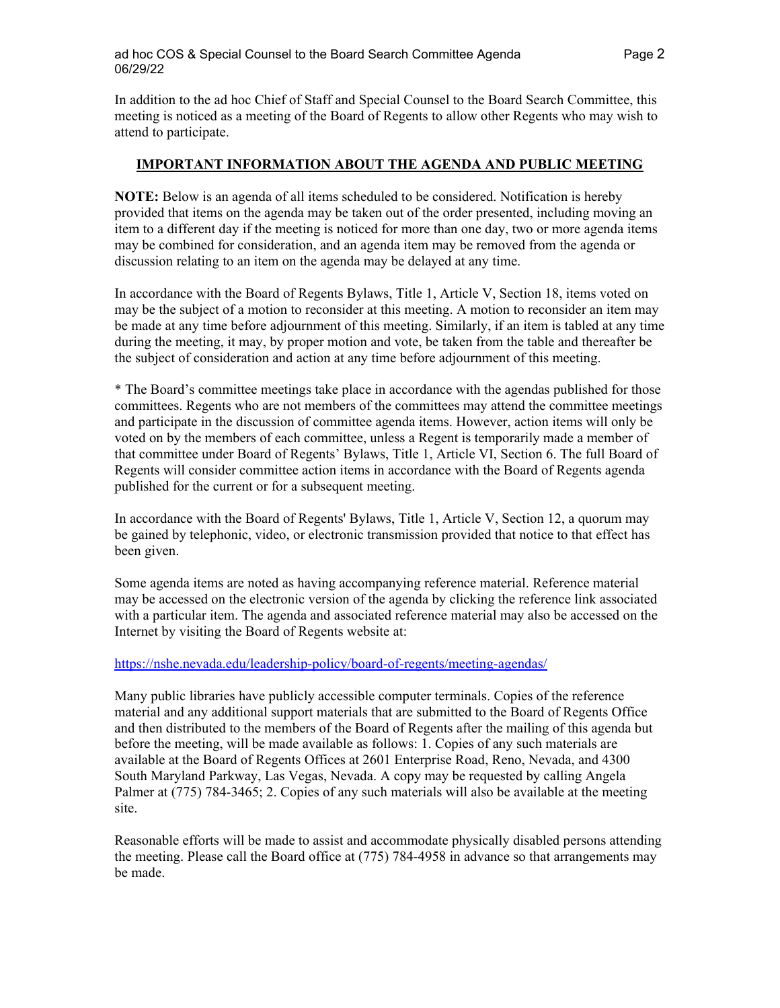In addition to the ad hoc Chief of Staff and Special Counsel to the Board Search Committee, this meeting is noticed as a meeting of the Board of Regents to allow other Regents who may wish to attend to participate.

### **IMPORTANT INFORMATION ABOUT THE AGENDA AND PUBLIC MEETING**

**NOTE:** Below is an agenda of all items scheduled to be considered. Notification is hereby provided that items on the agenda may be taken out of the order presented, including moving an item to a different day if the meeting is noticed for more than one day, two or more agenda items may be combined for consideration, and an agenda item may be removed from the agenda or discussion relating to an item on the agenda may be delayed at any time.

In accordance with the Board of Regents Bylaws, Title 1, Article V, Section 18, items voted on may be the subject of a motion to reconsider at this meeting. A motion to reconsider an item may be made at any time before adjournment of this meeting. Similarly, if an item is tabled at any time during the meeting, it may, by proper motion and vote, be taken from the table and thereafter be the subject of consideration and action at any time before adjournment of this meeting.

\* The Board's committee meetings take place in accordance with the agendas published for those committees. Regents who are not members of the committees may attend the committee meetings and participate in the discussion of committee agenda items. However, action items will only be voted on by the members of each committee, unless a Regent is temporarily made a member of that committee under Board of Regents' Bylaws, Title 1, Article VI, Section 6. The full Board of Regents will consider committee action items in accordance with the Board of Regents agenda published for the current or for a subsequent meeting.

In accordance with the Board of Regents' Bylaws, Title 1, Article V, Section 12, a quorum may be gained by telephonic, video, or electronic transmission provided that notice to that effect has been given.

Some agenda items are noted as having accompanying reference material. Reference material may be accessed on the electronic version of the agenda by clicking the reference link associated with a particular item. The agenda and associated reference material may also be accessed on the Internet by visiting the Board of Regents website at:

### <https://nshe.nevada.edu/leadership-policy/board-of-regents/meeting-agendas/>

Many public libraries have publicly accessible computer terminals. Copies of the reference material and any additional support materials that are submitted to the Board of Regents Office and then distributed to the members of the Board of Regents after the mailing of this agenda but before the meeting, will be made available as follows: 1. Copies of any such materials are available at the Board of Regents Offices at 2601 Enterprise Road, Reno, Nevada, and 4300 South Maryland Parkway, Las Vegas, Nevada. A copy may be requested by calling Angela Palmer at (775) 784-3465; 2. Copies of any such materials will also be available at the meeting site.

Reasonable efforts will be made to assist and accommodate physically disabled persons attending the meeting. Please call the Board office at (775) 784-4958 in advance so that arrangements may be made.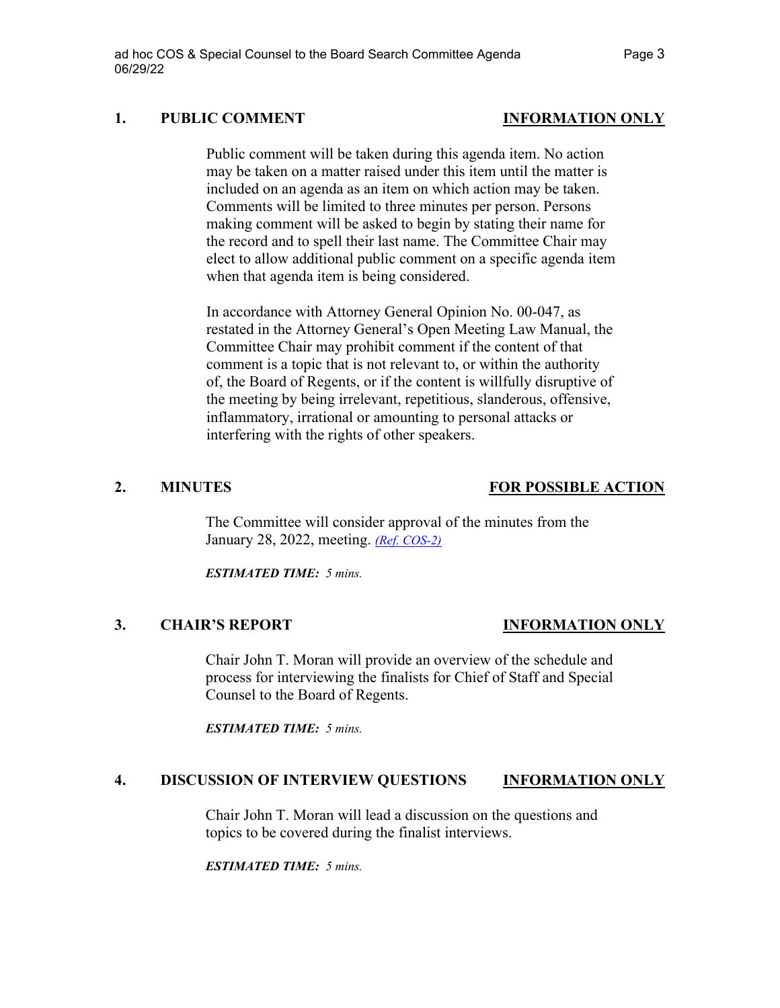## **1. PUBLIC COMMENT INFORMATION ONLY**

Public comment will be taken during this agenda item. No action may be taken on a matter raised under this item until the matter is included on an agenda as an item on which action may be taken. Comments will be limited to three minutes per person. Persons making comment will be asked to begin by stating their name for the record and to spell their last name. The Committee Chair may elect to allow additional public comment on a specific agenda item when that agenda item is being considered.

In accordance with Attorney General Opinion No. 00-047, as restated in the Attorney General's Open Meeting Law Manual, the Committee Chair may prohibit comment if the content of that comment is a topic that is not relevant to, or within the authority of, the Board of Regents, or if the content is willfully disruptive of the meeting by being irrelevant, repetitious, slanderous, offensive, inflammatory, irrational or amounting to personal attacks or interfering with the rights of other speakers.

### **2. MINUTES FOR POSSIBLE ACTION**

The Committee will consider approval of the minutes from the January 28, 2022, meeting. *[\(Ref. COS-2\)](https://nshe.nevada.edu/wp-content/uploads/file/BoardOfRegents/Agendas/2022/06-jun-mtgs/cos-refs/COS-2.pdf)*

*ESTIMATED TIME: 5 mins.*

## **3. CHAIR'S REPORT INFORMATION ONLY**

Chair John T. Moran will provide an overview of the schedule and process for interviewing the finalists for Chief of Staff and Special Counsel to the Board of Regents.

*ESTIMATED TIME: 5 mins.*

## **4. DISCUSSION OF INTERVIEW QUESTIONS INFORMATION ONLY**

Chair John T. Moran will lead a discussion on the questions and topics to be covered during the finalist interviews.

*ESTIMATED TIME: 5 mins.*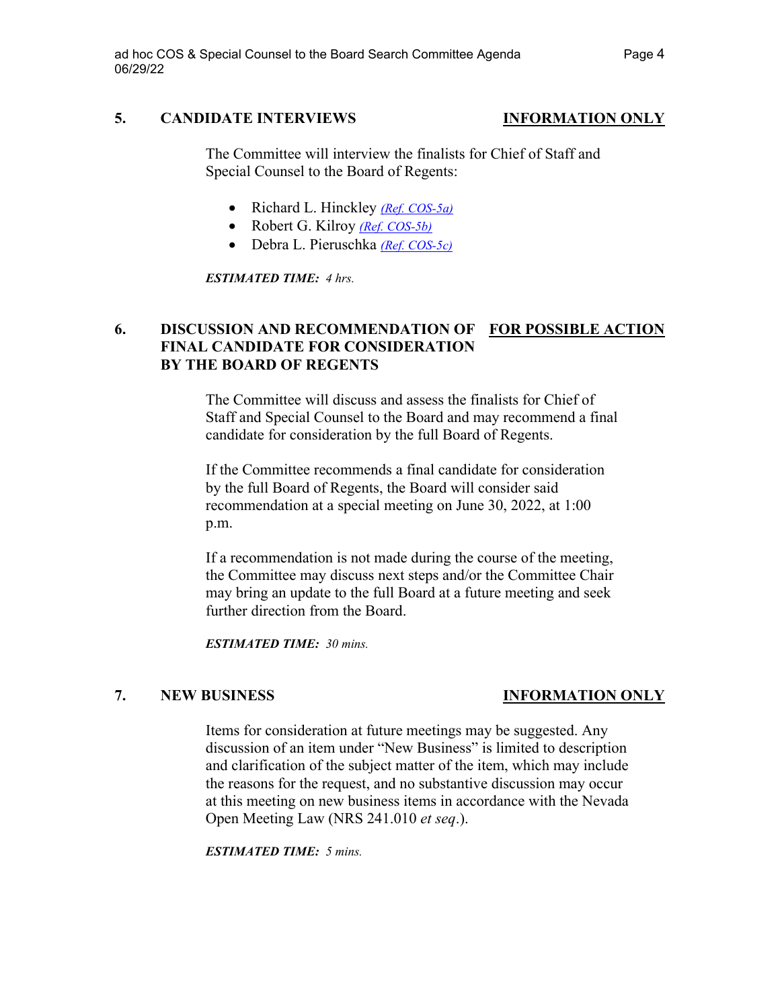## **5. CANDIDATE INTERVIEWS INFORMATION ONLY**

The Committee will interview the finalists for Chief of Staff and Special Counsel to the Board of Regents:

- Richard L. Hinckley *[\(Ref. COS-5a\)](https://nshe.nevada.edu/wp-content/uploads/file/BoardOfRegents/Agendas/2022/06-jun-mtgs/cos-refs/COS-5a.pdf)*
- Robert G. Kilroy *[\(Ref. COS-5b\)](https://nshe.nevada.edu/wp-content/uploads/file/BoardOfRegents/Agendas/2022/06-jun-mtgs/cos-refs/COS-5b.pdf)*
- Debra L. Pieruschka *[\(Ref. COS-5c\)](https://nshe.nevada.edu/wp-content/uploads/file/BoardOfRegents/Agendas/2022/06-jun-mtgs/cos-refs/COS-5c.pdf)*

*ESTIMATED TIME: 4 hrs.* 

# **6. DISCUSSION AND RECOMMENDATION OF FOR POSSIBLE ACTION FINAL CANDIDATE FOR CONSIDERATION BY THE BOARD OF REGENTS**

The Committee will discuss and assess the finalists for Chief of Staff and Special Counsel to the Board and may recommend a final candidate for consideration by the full Board of Regents.

If the Committee recommends a final candidate for consideration by the full Board of Regents, the Board will consider said recommendation at a special meeting on June 30, 2022, at 1:00 p.m.

If a recommendation is not made during the course of the meeting, the Committee may discuss next steps and/or the Committee Chair may bring an update to the full Board at a future meeting and seek further direction from the Board.

*ESTIMATED TIME: 30 mins.*

# **7. NEW BUSINESS INFORMATION ONLY**

Items for consideration at future meetings may be suggested. Any discussion of an item under "New Business" is limited to description and clarification of the subject matter of the item, which may include the reasons for the request, and no substantive discussion may occur at this meeting on new business items in accordance with the Nevada Open Meeting Law (NRS 241.010 *et seq*.).

*ESTIMATED TIME: 5 mins.*